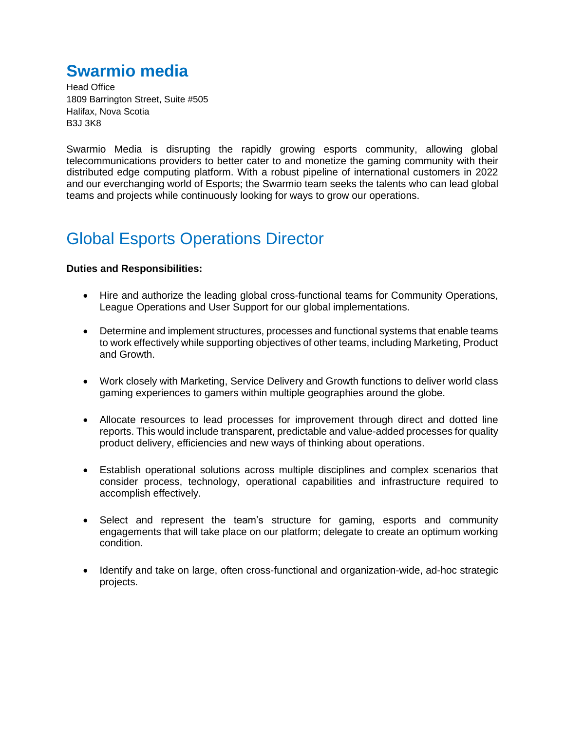# **Swarmio media**

Head Office 1809 Barrington Street, Suite #505 Halifax, Nova Scotia B3J 3K8

Swarmio Media is disrupting the rapidly growing esports community, allowing global telecommunications providers to better cater to and monetize the gaming community with their distributed edge computing platform. With a robust pipeline of international customers in 2022 and our everchanging world of Esports; the Swarmio team seeks the talents who can lead global teams and projects while continuously looking for ways to grow our operations.

# Global Esports Operations Director

### **Duties and Responsibilities:**

- Hire and authorize the leading global cross-functional teams for Community Operations, League Operations and User Support for our global implementations.
- Determine and implement structures, processes and functional systems that enable teams to work effectively while supporting objectives of other teams, including Marketing, Product and Growth.
- Work closely with Marketing, Service Delivery and Growth functions to deliver world class gaming experiences to gamers within multiple geographies around the globe.
- Allocate resources to lead processes for improvement through direct and dotted line reports. This would include transparent, predictable and value-added processes for quality product delivery, efficiencies and new ways of thinking about operations.
- Establish operational solutions across multiple disciplines and complex scenarios that consider process, technology, operational capabilities and infrastructure required to accomplish effectively.
- Select and represent the team's structure for gaming, esports and community engagements that will take place on our platform; delegate to create an optimum working condition.
- Identify and take on large, often cross-functional and organization-wide, ad-hoc strategic projects.